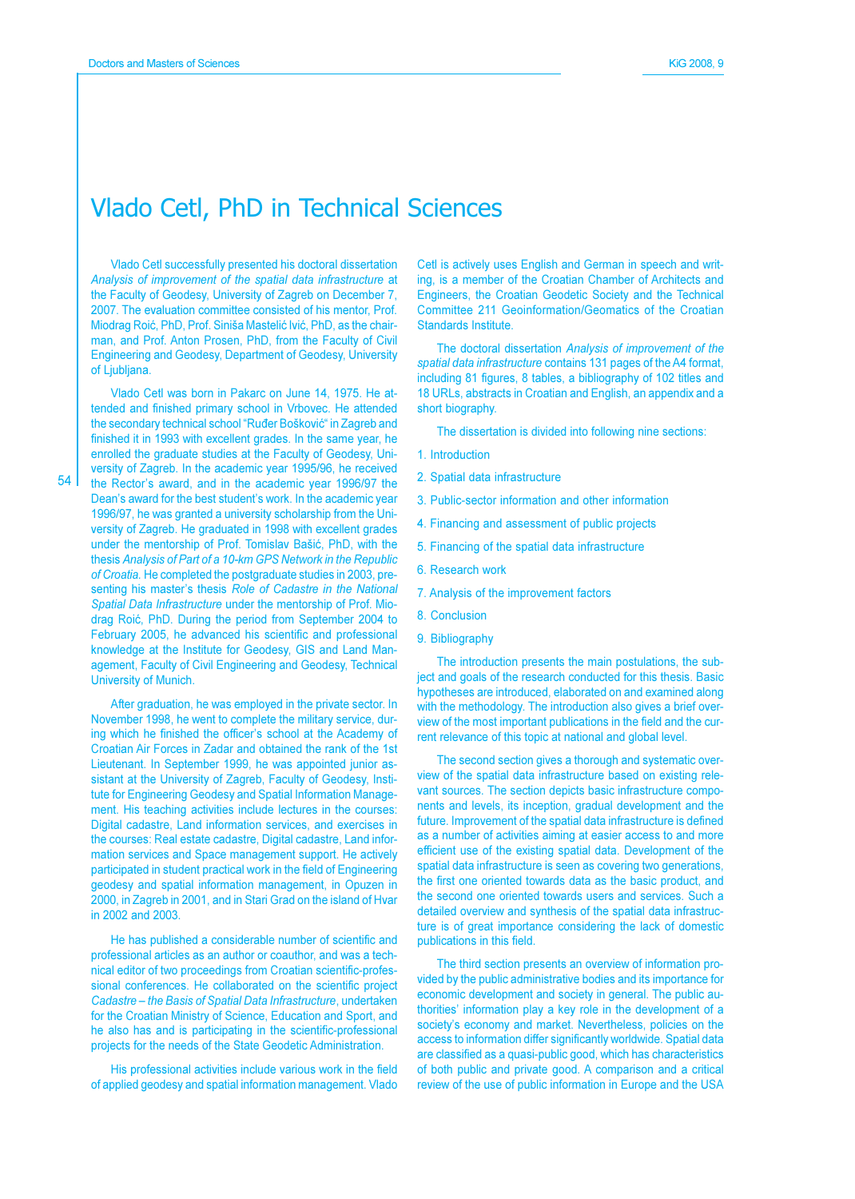### Vlado Cetl, PhD in Technical Sciences

Vlado Cetl successfully presented his doctoral dissertation Analysis of improvement of the spatial data infrastructure at the Faculty of Geodesy, University of Zagreb on December 7, 2007. The evaluation committee consisted of his mentor, Prof. Miodrag Roić, PhD, Prof. Siniša Mastelić Ivić, PhD, as the chairman, and Prof. Anton Prosen, PhD, from the Faculty of Civil Engineering and Geodesy, Department of Geodesy, University of Ljubliana.

Vlado Cetl was born in Pakarc on June 14, 1975. He attended and finished primary school in Vrbovec. He attended the secondary technical school "Ruđer Bošković" in Zagreb and finished it in 1993 with excellent grades. In the same year, he enrolled the graduate studies at the Faculty of Geodesy, University of Zagreb. In the academic year 1995/96, he received the Rector's award, and in the academic year 1996/97 the Dean's award for the best student's work. In the academic year 1996/97, he was granted a university scholarship from the University of Zagreb. He graduated in 1998 with excellent grades under the mentorship of Prof. Tomislav Bašić, PhD, with the thesis Analysis of Part of a 10-km GPS Network in the Republic of Croatia. He completed the postgraduate studies in 2003, presenting his master's thesis Role of Cadastre in the National Spatial Data Infrastructure under the mentorship of Prof. Miodrag Roić, PhD. During the period from September 2004 to February 2005, he advanced his scientific and professional knowledge at the Institute for Geodesy, GIS and Land Management, Faculty of Civil Engineering and Geodesy, Technical University of Munich.

After graduation, he was employed in the private sector. In November 1998, he went to complete the military service, during which he finished the officer's school at the Academy of Croatian Air Forces in Zadar and obtained the rank of the 1st Lieutenant. In September 1999, he was appointed junior assistant at the University of Zagreb, Faculty of Geodesy, Institute for Engineering Geodesy and Spatial Information Management. His teaching activities include lectures in the courses: Digital cadastre, Land information services, and exercises in the courses: Real estate cadastre, Digital cadastre, Land information services and Space management support. He actively participated in student practical work in the field of Engineering geodesy and spatial information management, in Opuzen in 2000, in Zagreb in 2001, and in Stari Grad on the island of Hvar in 2002 and 2003.

He has published a considerable number of scientific and professional articles as an author or coauthor, and was a technical editor of two proceedings from Croatian scientific-professional conferences. He collaborated on the scientific project Cadastre - the Basis of Spatial Data Infrastructure, undertaken for the Croatian Ministry of Science, Education and Sport, and he also has and is participating in the scientific-professional projects for the needs of the State Geodetic Administration.

His professional activities include various work in the field of applied geodesy and spatial information management. Vlado Cetl is actively uses English and German in speech and writing, is a member of the Croatian Chamber of Architects and Engineers, the Croatian Geodetic Society and the Technical Committee 211 Geoinformation/Geomatics of the Croatian Standards Institute.

The doctoral dissertation Analysis of improvement of the spatial data infrastructure contains 131 pages of the A4 format, including 81 figures, 8 tables, a bibliography of 102 titles and 18 URLs, abstracts in Croatian and English, an appendix and a short biography.

The dissertation is divided into following nine sections:

- 1. Introduction
- 2. Spatial data infrastructure
- 3. Public-sector information and other information
- 4. Financing and assessment of public projects
- 5. Financing of the spatial data infrastructure
- 6. Research work
- 7. Analysis of the improvement factors
- 8. Conclusion
- 9. Bibliography

The introduction presents the main postulations, the subject and goals of the research conducted for this thesis. Basic hypotheses are introduced, elaborated on and examined along with the methodology. The introduction also gives a brief overview of the most important publications in the field and the current relevance of this topic at national and global level.

The second section gives a thorough and systematic overview of the spatial data infrastructure based on existing relevant sources. The section depicts basic infrastructure components and levels, its inception, gradual development and the future. Improvement of the spatial data infrastructure is defined as a number of activities aiming at easier access to and more efficient use of the existing spatial data. Development of the spatial data infrastructure is seen as covering two generations, the first one oriented towards data as the basic product, and the second one oriented towards users and services. Such a detailed overview and synthesis of the spatial data infrastructure is of great importance considering the lack of domestic publications in this field.

The third section presents an overview of information provided by the public administrative bodies and its importance for economic development and society in general. The public authorities' information play a key role in the development of a society's economy and market. Nevertheless, policies on the access to information differ significantly worldwide. Spatial data are classified as a quasi-public good, which has characteristics of both public and private good. A comparison and a critical review of the use of public information in Europe and the USA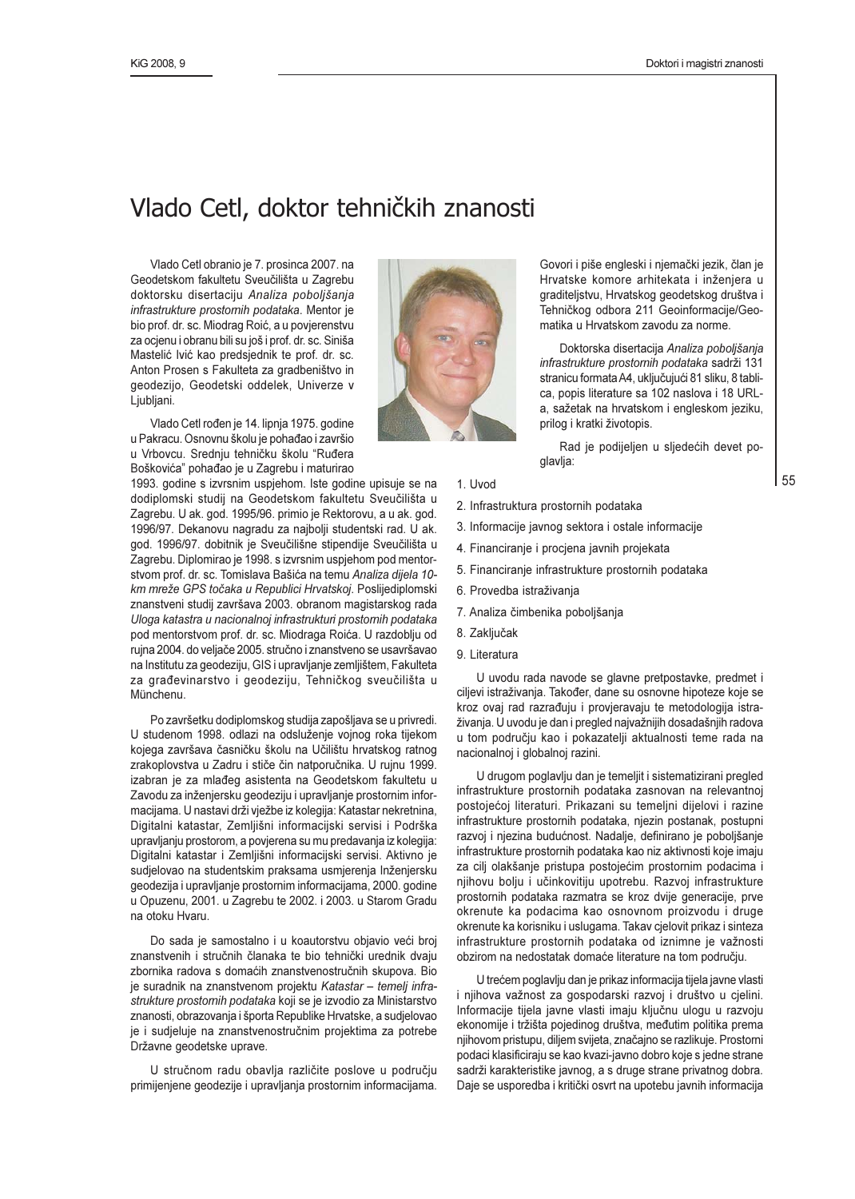#### Vlado Cetl, doktor tehničkih znanosti

Vlado Cetl obranio je 7. prosinca 2007. na Geodetskom fakultetu Sveučilišta u Zagrebu doktorsku disertaciju Analiza poboljšanja infrastrukture prostornih podataka. Mentor je bio prof. dr. sc. Miodrag Roić, a u povjerenstvu za ocjenu i obranu bili su još i prof. dr. sc. Siniša Mastelić lvić kao predsjednik te prof. dr. sc. Anton Prosen s Fakulteta za gradbeništvo in geodezijo, Geodetski oddelek, Univerze v Ljubljani.

Vlado Cetl rođen je 14. lipnja 1975. godine u Pakracu. Osnovnu školu je pohađao i završio u Vrbovcu. Srednju tehničku školu "Ruđera Boškovića" pohađao je u Zagrebu i maturirao

1993. godine s izvrsnim uspjehom. Iste godine upisuje se na dodiplomski studij na Geodetskom fakultetu Sveučilišta u Zagrebu. U ak. god. 1995/96. primio je Rektorovu, a u ak. god. 1996/97. Dekanovu nagradu za najbolji studentski rad. U ak. god. 1996/97. dobitnik je Sveučilišne stipendije Sveučilišta u Zagrebu. Diplomirao je 1998. s izvrsnim uspjehom pod mentorstvom prof. dr. sc. Tomislava Bašića na temu Analiza dijela 10km mreže GPS točaka u Republici Hrvatskoj. Poslijediplomski znanstveni studij završava 2003. obranom magistarskog rada Uloga katastra u nacionalnoj infrastrukturi prostornih podataka pod mentorstvom prof. dr. sc. Miodraga Roića. U razdoblju od rujna 2004. do veljače 2005. stručno i znanstveno se usavršavao na Institutu za geodeziju, GIS i upravljanje zemljištem, Fakulteta za građevinarstvo i geodeziju, Tehničkog sveučilišta u Münchenu.

Po završetku dodiplomskog studija zapošljava se u privredi. U studenom 1998. odlazi na odsluženje vojnog roka tijekom kojega završava časničku školu na Učilištu hrvatskog ratnog zrakoplovstva u Zadru i stiče čin natporučnika. U rujnu 1999. izabran je za mlađeg asistenta na Geodetskom fakultetu u Zavodu za inženjersku geodeziju i upravljanje prostornim informacijama. U nastavi drži vježbe iz kolegija: Katastar nekretnina, Digitalni katastar, Zemljišni informacijski servisi i Podrška upravljanju prostorom, a povjerena su mu predavanja iz kolegija: Digitalni katastar i Zemljišni informacijski servisi. Aktivno je sudjelovao na studentskim praksama usmjerenja Inženjersku geodezija i upravljanje prostornim informacijama, 2000. godine u Opuzenu, 2001. u Zagrebu te 2002. i 2003. u Starom Gradu na otoku Hvaru.

Do sada je samostalno i u koautorstvu objavio veći broj znanstvenih i stručnih članaka te bio tehnički urednik dvaju zbornika radova s domaćih znanstvenostručnih skupova. Bio je suradnik na znanstvenom projektu Katastar - temelj infrastrukture prostornih podataka koji se je izvodio za Ministarstvo znanosti, obrazovanja i športa Republike Hrvatske, a sudjelovao je i sudjeluje na znanstvenostručnim projektima za potrebe Državne geodetske uprave.

U stručnom radu obavlja različite poslove u području primijenjene geodezije i upravljanja prostornim informacijama.



Govori i piše engleski i njemački jezik, član je Hrvatske komore arhitekata i inženjera u graditeljstvu, Hrvatskog geodetskog društva i Tehničkog odbora 211 Geoinformacije/Geomatika u Hrvatskom zavodu za norme.

Doktorska disertacija Analiza poboljšanja infrastrukture prostornih podataka sadrži 131 stranicu formata A4, uključujući 81 sliku, 8 tablica, popis literature sa 102 naslova i 18 URLa, sažetak na hrvatskom i engleskom jeziku, prilog i kratki životopis.

Rad je podijeljen u sljedećih devet poglavlja:

- 1. Uvod
- 2. Infrastruktura prostornih podataka
- 3. Informacije javnog sektora i ostale informacije
- 4. Financiranje i procjena javnih projekata
- 5. Financiranje infrastrukture prostornih podataka
- 6. Provedba istraživanja
- 7. Analiza čimbenika poboljšanja
- 8. Zaključak
- 9. Literatura

U uvodu rada navode se glavne pretpostavke, predmet i ciljevi istraživanja. Također, dane su osnovne hipoteze koje se kroz ovaj rad razrađuju i provjeravaju te metodologija istraživanja. U uvodu je dan i pregled najvažnijih dosadašnjih radova u tom području kao i pokazatelji aktualnosti teme rada na nacionalnoj i globalnoj razini.

U drugom poglavlju dan je temeljit i sistematizirani pregled infrastrukture prostornih podataka zasnovan na relevantnoj postojećoj literaturi. Prikazani su temeljni dijelovi i razine infrastrukture prostornih podataka, njezin postanak, postupni razvoj i njezina budućnost. Nadalje, definirano je poboljšanje infrastrukture prostornih podataka kao niz aktivnosti koje imaju za cilj olakšanje pristupa postojećim prostornim podacima i njihovu bolju i učinkovitiju upotrebu. Razvoj infrastrukture prostornih podataka razmatra se kroz dvije generacije, prve okrenute ka podacima kao osnovnom proizvodu i druge okrenute ka korisniku i uslugama. Takav cjelovit prikaz i sinteza infrastrukture prostornih podataka od iznimne je važnosti obzirom na nedostatak domaće literature na tom području.

U trećem poglavlju dan je prikaz informacija tijela javne vlasti i njihova važnost za gospodarski razvoj i društvo u cjelini. Informacije tijela javne vlasti imaju ključnu ulogu u razvoju ekonomije i tržišta pojedinog društva, međutim politika prema njihovom pristupu, diljem svijeta, značajno se razlikuje. Prostorni podaci klasificiraju se kao kvazi-javno dobro koje s jedne strane sadrži karakteristike javnog, a s druge strane privatnog dobra. Daje se usporedba i kritički osvrt na upotebu javnih informacija

55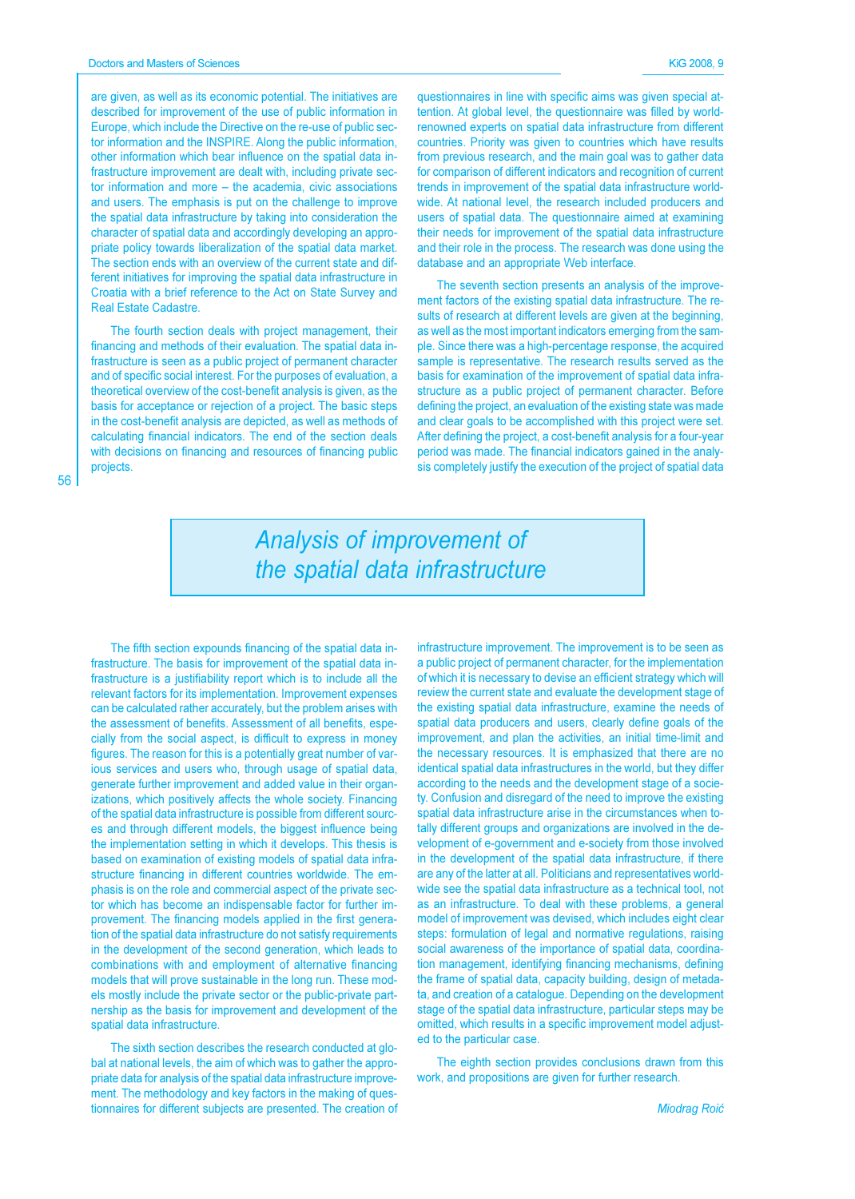are given, as well as its economic potential. The initiatives are described for improvement of the use of public information in Europe, which include the Directive on the re-use of public sector information and the INSPIRE. Along the public information, other information which bear influence on the spatial data infrastructure improvement are dealt with, including private sector information and more - the academia, civic associations and users. The emphasis is put on the challenge to improve the spatial data infrastructure by taking into consideration the character of spatial data and accordingly developing an appropriate policy towards liberalization of the spatial data market. The section ends with an overview of the current state and different initiatives for improving the spatial data infrastructure in Croatia with a brief reference to the Act on State Survey and **Real Estate Cadastre** 

The fourth section deals with project management, their financing and methods of their evaluation. The spatial data infrastructure is seen as a public project of permanent character and of specific social interest. For the purposes of evaluation, a theoretical overview of the cost-benefit analysis is given, as the basis for acceptance or rejection of a project. The basic steps in the cost-benefit analysis are depicted, as well as methods of calculating financial indicators. The end of the section deals with decisions on financing and resources of financing public projects.

questionnaires in line with specific aims was given special attention. At global level, the questionnaire was filled by worldrenowned experts on spatial data infrastructure from different countries. Priority was given to countries which have results from previous research, and the main goal was to gather data for comparison of different indicators and recognition of current trends in improvement of the spatial data infrastructure worldwide. At national level, the research included producers and users of spatial data. The questionnaire aimed at examining their needs for improvement of the spatial data infrastructure and their role in the process. The research was done using the database and an appropriate Web interface.

The seventh section presents an analysis of the improvement factors of the existing spatial data infrastructure. The results of research at different levels are given at the beginning. as well as the most important indicators emerging from the sample. Since there was a high-percentage response, the acquired sample is representative. The research results served as the basis for examination of the improvement of spatial data infrastructure as a public project of permanent character. Before defining the project, an evaluation of the existing state was made and clear goals to be accomplished with this project were set. After defining the project, a cost-benefit analysis for a four-year period was made. The financial indicators gained in the analysis completely justify the execution of the project of spatial data

## **Analysis of improvement of** the spatial data infrastructure

The fifth section expounds financing of the spatial data infrastructure. The basis for improvement of the spatial data infrastructure is a justifiability report which is to include all the relevant factors for its implementation. Improvement expenses can be calculated rather accurately, but the problem arises with the assessment of benefits. Assessment of all benefits, especially from the social aspect, is difficult to express in money figures. The reason for this is a potentially great number of various services and users who, through usage of spatial data, generate further improvement and added value in their organizations, which positively affects the whole society. Financing of the spatial data infrastructure is possible from different sources and through different models, the biggest influence being the implementation setting in which it develops. This thesis is based on examination of existing models of spatial data infrastructure financing in different countries worldwide. The emphasis is on the role and commercial aspect of the private sector which has become an indispensable factor for further improvement. The financing models applied in the first generation of the spatial data infrastructure do not satisfy requirements in the development of the second generation, which leads to combinations with and employment of alternative financing models that will prove sustainable in the long run. These models mostly include the private sector or the public-private partnership as the basis for improvement and development of the spatial data infrastructure.

The sixth section describes the research conducted at global at national levels, the aim of which was to gather the appropriate data for analysis of the spatial data infrastructure improvement. The methodology and key factors in the making of questionnaires for different subjects are presented. The creation of infrastructure improvement. The improvement is to be seen as a public project of permanent character, for the implementation of which it is necessary to devise an efficient strategy which will review the current state and evaluate the development stage of the existing spatial data infrastructure, examine the needs of spatial data producers and users, clearly define goals of the improvement, and plan the activities, an initial time-limit and the necessary resources. It is emphasized that there are no identical spatial data infrastructures in the world, but they differ according to the needs and the development stage of a society. Confusion and disregard of the need to improve the existing spatial data infrastructure arise in the circumstances when totally different groups and organizations are involved in the development of e-government and e-society from those involved in the development of the spatial data infrastructure, if there are any of the latter at all. Politicians and representatives worldwide see the spatial data infrastructure as a technical tool, not as an infrastructure. To deal with these problems, a general model of improvement was devised, which includes eight clear steps: formulation of legal and normative regulations, raising social awareness of the importance of spatial data, coordination management, identifying financing mechanisms, defining the frame of spatial data, capacity building, design of metadata, and creation of a catalogue. Depending on the development stage of the spatial data infrastructure, particular steps may be omitted, which results in a specific improvement model adjusted to the particular case.

The eighth section provides conclusions drawn from this work, and propositions are given for further research.